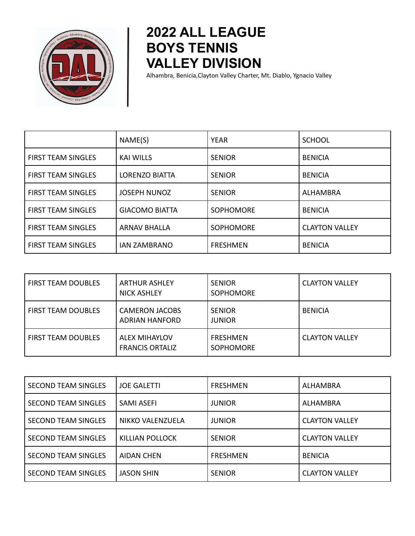

## **2022 ALL LEAGUE BOYS TENNIS VALLEY DIVISION**

Alhambra, Benicia,Clayton Valley Charter, Mt. Diablo, Ygnacio Valley

|                           | NAME(S)               | YEAR             | <b>SCHOOL</b>         |
|---------------------------|-----------------------|------------------|-----------------------|
| <b>FIRST TEAM SINGLES</b> | <b>KAI WILLS</b>      | <b>SENIOR</b>    | <b>BENICIA</b>        |
| <b>FIRST TEAM SINGLES</b> | LORENZO BIATTA        | <b>SENIOR</b>    | <b>BENICIA</b>        |
| <b>FIRST TEAM SINGLES</b> | <b>JOSEPH NUNOZ</b>   | <b>SENIOR</b>    | <b>ALHAMBRA</b>       |
| <b>FIRST TEAM SINGLES</b> | <b>GIACOMO BIATTA</b> | SOPHOMORE        | <b>BENICIA</b>        |
| <b>FIRST TEAM SINGLES</b> | <b>ARNAV BHALLA</b>   | <b>SOPHOMORE</b> | <b>CLAYTON VALLEY</b> |
| <b>FIRST TEAM SINGLES</b> | <b>IAN ZAMBRANO</b>   | <b>FRESHMEN</b>  | <b>BENICIA</b>        |

| <b>FIRST TEAM DOUBLES</b> | <b>ARTHUR ASHLEY</b><br><b>NICK ASHLEY</b>     | <b>SENIOR</b><br><b>SOPHOMORE</b>   | <b>CLAYTON VALLEY</b> |
|---------------------------|------------------------------------------------|-------------------------------------|-----------------------|
| <b>FIRST TEAM DOUBLES</b> | <b>CAMERON JACOBS</b><br><b>ADRIAN HANFORD</b> | <b>SENIOR</b><br><b>JUNIOR</b>      | <b>BENICIA</b>        |
| <b>FIRST TEAM DOUBLES</b> | <b>ALEX MIHAYLOV</b><br><b>FRANCIS ORTALIZ</b> | <b>FRESHMEN</b><br><b>SOPHOMORE</b> | <b>CLAYTON VALLEY</b> |

| <b>SECOND TEAM SINGLES</b> | <b>JOE GALETTI</b> | <b>FRESHMEN</b> | ALHAMBRA              |
|----------------------------|--------------------|-----------------|-----------------------|
| <b>SECOND TEAM SINGLES</b> | SAMI ASEFI         | <b>JUNIOR</b>   | <b>ALHAMBRA</b>       |
| <b>SECOND TEAM SINGLES</b> | NIKKO VALENZUELA   | <b>JUNIOR</b>   | <b>CLAYTON VALLEY</b> |
| <b>SECOND TEAM SINGLES</b> | KILLIAN POLLOCK    | <b>SENIOR</b>   | <b>CLAYTON VALLEY</b> |
| <b>SECOND TEAM SINGLES</b> | <b>AIDAN CHEN</b>  | FRESHMEN        | <b>BENICIA</b>        |
| <b>SECOND TEAM SINGLES</b> | <b>JASON SHIN</b>  | <b>SENIOR</b>   | <b>CLAYTON VALLEY</b> |